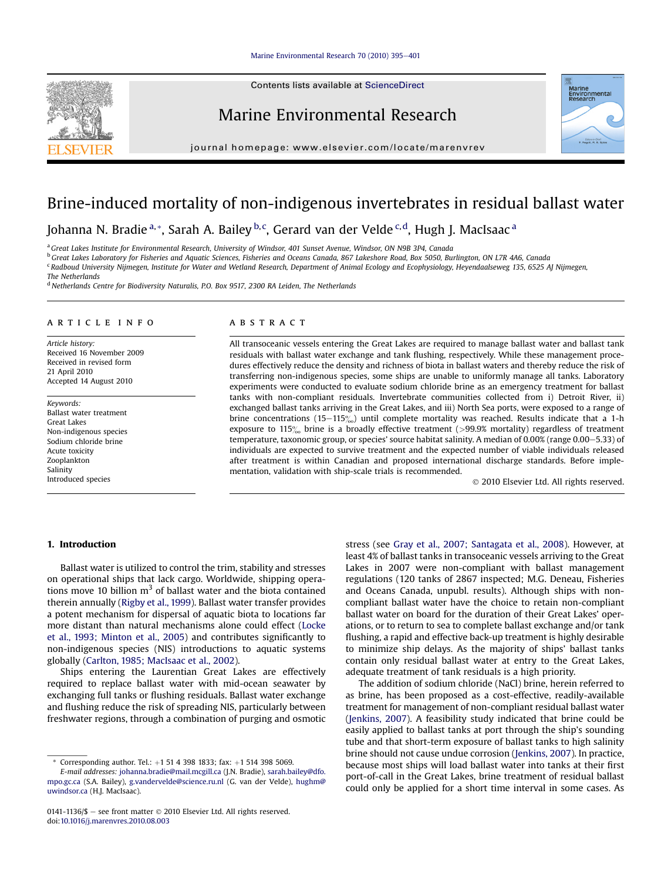## [Marine Environmental Research 70 \(2010\) 395](http://dx.doi.org/10.1016/j.marenvres.2010.08.003)-[401](http://dx.doi.org/10.1016/j.marenvres.2010.08.003)

Contents lists available at ScienceDirect

## Marine Environmental Research

journal homepage: [www.elsevier.com/locate/marenvrev](http://www.elsevier.com/locate/marenvrev)



# Brine-induced mortality of non-indigenous invertebrates in residual ballast water

Johanna N. Bradie <sup>a,</sup>\*, Sarah A. Bailey <sup>b, c</sup>, Gerard van der Velde <sup>c, d</sup>, Hugh J. MacIsaac <sup>a</sup>

<sup>a</sup> Great Lakes Institute for Environmental Research, University of Windsor, 401 Sunset Avenue, Windsor, ON N9B 3P4, Canada

<sup>b</sup> Great Lakes Laboratory for Fisheries and Aquatic Sciences, Fisheries and Oceans Canada, 867 Lakeshore Road, Box 5050, Burlington, ON L7R 4A6, Canada

<sup>c</sup> Radboud University Nijmegen, Institute for Water and Wetland Research, Department of Animal Ecology and Ecophysiology, Heyendaalseweg 135, 6525 AJ Nijmegen,

The Netherlands

<sup>d</sup> Netherlands Centre for Biodiversity Naturalis, P.O. Box 9517, 2300 RA Leiden, The Netherlands

#### article info

Article history: Received 16 November 2009 Received in revised form 21 April 2010 Accepted 14 August 2010

Keywords: Ballast water treatment Great Lakes Non-indigenous species Sodium chloride brine Acute toxicity Zooplankton Salinity Introduced species

## **ABSTRACT**

All transoceanic vessels entering the Great Lakes are required to manage ballast water and ballast tank residuals with ballast water exchange and tank flushing, respectively. While these management procedures effectively reduce the density and richness of biota in ballast waters and thereby reduce the risk of transferring non-indigenous species, some ships are unable to uniformly manage all tanks. Laboratory experiments were conducted to evaluate sodium chloride brine as an emergency treatment for ballast tanks with non-compliant residuals. Invertebrate communities collected from i) Detroit River, ii) exchanged ballast tanks arriving in the Great Lakes, and iii) North Sea ports, were exposed to a range of brine concentrations (15-115 $\%$ ) until complete mortality was reached. Results indicate that a 1-h exposure to 115 $\%$  brine is a broadly effective treatment (>99.9% mortality) regardless of treatment temperature, taxonomic group, or species' source habitat salinity. A median of 0.00% (range 0.00–5.33) of individuals are expected to survive treatment and the expected number of viable individuals released after treatment is within Canadian and proposed international discharge standards. Before implementation, validation with ship-scale trials is recommended.

2010 Elsevier Ltd. All rights reserved.

## 1. Introduction

Ballast water is utilized to control the trim, stability and stresses on operational ships that lack cargo. Worldwide, shipping operations move 10 billion  $m<sup>3</sup>$  of ballast water and the biota contained therein annually [\(Rigby et al., 1999](#page-5-0)). Ballast water transfer provides a potent mechanism for dispersal of aquatic biota to locations far more distant than natural mechanisms alone could effect [\(Locke](#page-5-0) [et al., 1993; Minton et al., 2005](#page-5-0)) and contributes significantly to non-indigenous species (NIS) introductions to aquatic systems globally ([Carlton, 1985; MacIsaac et al., 2002](#page-5-0)).

Ships entering the Laurentian Great Lakes are effectively required to replace ballast water with mid-ocean seawater by exchanging full tanks or flushing residuals. Ballast water exchange and flushing reduce the risk of spreading NIS, particularly between freshwater regions, through a combination of purging and osmotic stress (see [Gray et al., 2007; Santagata et al., 2008](#page-5-0)). However, at least 4% of ballast tanks in transoceanic vessels arriving to the Great Lakes in 2007 were non-compliant with ballast management regulations (120 tanks of 2867 inspected; M.G. Deneau, Fisheries and Oceans Canada, unpubl. results). Although ships with noncompliant ballast water have the choice to retain non-compliant ballast water on board for the duration of their Great Lakes' operations, or to return to sea to complete ballast exchange and/or tank flushing, a rapid and effective back-up treatment is highly desirable to minimize ship delays. As the majority of ships' ballast tanks contain only residual ballast water at entry to the Great Lakes, adequate treatment of tank residuals is a high priority.

The addition of sodium chloride (NaCl) brine, herein referred to as brine, has been proposed as a cost-effective, readily-available treatment for management of non-compliant residual ballast water ([Jenkins, 2007\)](#page-5-0). A feasibility study indicated that brine could be easily applied to ballast tanks at port through the ship's sounding tube and that short-term exposure of ballast tanks to high salinity brine should not cause undue corrosion [\(Jenkins, 2007\)](#page-5-0). In practice, because most ships will load ballast water into tanks at their first port-of-call in the Great Lakes, brine treatment of residual ballast could only be applied for a short time interval in some cases. As

Corresponding author. Tel.:  $+1$  51 4 398 1833; fax:  $+1$  514 398 5069.

E-mail addresses: [johanna.bradie@mail.mcgill.ca](mailto:johanna.bradie@mail.mcgill.ca) (J.N. Bradie), [sarah.bailey@dfo.](mailto:sarah.bailey@dfo.mpo.gc.ca) [mpo.gc.ca](mailto:sarah.bailey@dfo.mpo.gc.ca) (S.A. Bailey), [g.vandervelde@science.ru.nl](mailto:g.vandervelde@science.ru.nl) (G. van der Velde), [hughm@](mailto:hughm@uwindsor.ca) [uwindsor.ca](mailto:hughm@uwindsor.ca) (H.J. MacIsaac).

<sup>0141-1136/\$ -</sup> see front matter  $\odot$  2010 Elsevier Ltd. All rights reserved. doi[:10.1016/j.marenvres.2010.08.003](http://dx.doi.org/10.1016/j.marenvres.2010.08.003)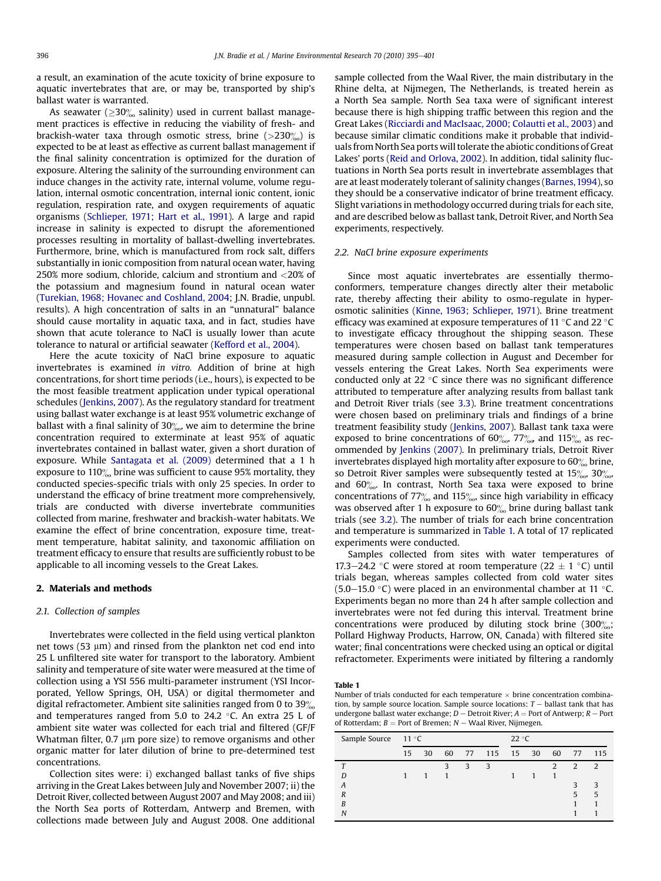<span id="page-1-0"></span>a result, an examination of the acute toxicity of brine exposure to aquatic invertebrates that are, or may be, transported by ship's ballast water is warranted.

As seawater ( $\geq$ 30‰ salinity) used in current ballast management practices is effective in reducing the viability of fresh- and brackish-water taxa through osmotic stress, brine  $(>230\%)$  is expected to be at least as effective as current ballast management if the final salinity concentration is optimized for the duration of exposure. Altering the salinity of the surrounding environment can induce changes in the activity rate, internal volume, volume regulation, internal osmotic concentration, internal ionic content, ionic regulation, respiration rate, and oxygen requirements of aquatic organisms ([Schlieper, 1971; Hart et al., 1991\)](#page-6-0). A large and rapid increase in salinity is expected to disrupt the aforementioned processes resulting in mortality of ballast-dwelling invertebrates. Furthermore, brine, which is manufactured from rock salt, differs substantially in ionic composition from natural ocean water, having 250% more sodium, chloride, calcium and strontium and <20% of the potassium and magnesium found in natural ocean water ([Turekian, 1968; Hovanec and Coshland, 2004;](#page-6-0) J.N. Bradie, unpubl. results). A high concentration of salts in an "unnatural" balance should cause mortality in aquatic taxa, and in fact, studies have shown that acute tolerance to NaCl is usually lower than acute tolerance to natural or artificial seawater [\(Kefford et al., 2004](#page-5-0)).

Here the acute toxicity of NaCl brine exposure to aquatic invertebrates is examined in vitro. Addition of brine at high concentrations, for short time periods (i.e., hours), is expected to be the most feasible treatment application under typical operational schedules ([Jenkins, 2007](#page-5-0)). As the regulatory standard for treatment using ballast water exchange is at least 95% volumetric exchange of ballast with a final salinity of  $30\%$ , we aim to determine the brine concentration required to exterminate at least 95% of aquatic invertebrates contained in ballast water, given a short duration of exposure. While [Santagata et al. \(2009\)](#page-6-0) determined that a 1 h exposure to  $110\%$  brine was sufficient to cause 95% mortality, they conducted species-specific trials with only 25 species. In order to understand the efficacy of brine treatment more comprehensively, trials are conducted with diverse invertebrate communities collected from marine, freshwater and brackish-water habitats. We examine the effect of brine concentration, exposure time, treatment temperature, habitat salinity, and taxonomic affiliation on treatment efficacy to ensure that results are sufficiently robust to be applicable to all incoming vessels to the Great Lakes.

## 2. Materials and methods

## 2.1. Collection of samples

Invertebrates were collected in the field using vertical plankton net tows (53  $\mu$ m) and rinsed from the plankton net cod end into 25 L unfiltered site water for transport to the laboratory. Ambient salinity and temperature of site water were measured at the time of collection using a YSI 556 multi-parameter instrument (YSI Incorporated, Yellow Springs, OH, USA) or digital thermometer and digital refractometer. Ambient site salinities ranged from 0 to  $39\%$ and temperatures ranged from 5.0 to 24.2  $\degree$ C. An extra 25 L of ambient site water was collected for each trial and filtered (GF/F Whatman filter,  $0.7 \mu m$  pore size) to remove organisms and other organic matter for later dilution of brine to pre-determined test concentrations.

Collection sites were: i) exchanged ballast tanks of five ships arriving in the Great Lakes between July and November 2007; ii) the Detroit River, collected between August 2007 and May 2008; and iii) the North Sea ports of Rotterdam, Antwerp and Bremen, with collections made between July and August 2008. One additional sample collected from the Waal River, the main distributary in the Rhine delta, at Nijmegen, The Netherlands, is treated herein as a North Sea sample. North Sea taxa were of significant interest because there is high shipping traffic between this region and the Great Lakes ([Ricciardi and MacIsaac, 2000; Colautti et al., 2003\)](#page-5-0) and because similar climatic conditions make it probable that individuals from North Sea ports will tolerate the abiotic conditions of Great Lakes' ports [\(Reid and Orlova, 2002](#page-5-0)). In addition, tidal salinity fluctuations in North Sea ports result in invertebrate assemblages that are at least moderately tolerant of salinity changes [\(Barnes,1994](#page-5-0)), so they should be a conservative indicator of brine treatment efficacy. Slight variations in methodology occurred during trials for each site, and are described below as ballast tank, Detroit River, and North Sea experiments, respectively.

## 2.2. NaCl brine exposure experiments

Since most aquatic invertebrates are essentially thermoconformers, temperature changes directly alter their metabolic rate, thereby affecting their ability to osmo-regulate in hyperosmotic salinities ([Kinne, 1963; Schlieper, 1971](#page-5-0)). Brine treatment efficacy was examined at exposure temperatures of 11  $\degree$ C and 22  $\degree$ C to investigate efficacy throughout the shipping season. These temperatures were chosen based on ballast tank temperatures measured during sample collection in August and December for vessels entering the Great Lakes. North Sea experiments were conducted only at 22 $\degree$ C since there was no significant difference attributed to temperature after analyzing results from ballast tank and Detroit River trials (see [3.3](#page-3-0)). Brine treatment concentrations were chosen based on preliminary trials and findings of a brine treatment feasibility study ([Jenkins, 2007](#page-5-0)). Ballast tank taxa were exposed to brine concentrations of  $60\%$ ,  $77\%$ , and  $115\%$  as recommended by [Jenkins \(2007\)](#page-5-0). In preliminary trials, Detroit River invertebrates displayed high mortality after exposure to  $60\%$  brine, so Detroit River samples were subsequently tested at  $15\%$ ,  $30\%$ , and  $60^{\circ}_{00}$ . In contrast, North Sea taxa were exposed to brine concentrations of  $77\%$  and  $115\%$ , since high variability in efficacy was observed after 1 h exposure to  $60\%$  brine during ballast tank trials (see [3.2\)](#page-2-0). The number of trials for each brine concentration and temperature is summarized in Table 1. A total of 17 replicated experiments were conducted.

Samples collected from sites with water temperatures of 17.3–24.2 °C were stored at room temperature (22  $\pm$  1 °C) until trials began, whereas samples collected from cold water sites (5.0–15.0 °C) were placed in an environmental chamber at 11 °C. Experiments began no more than 24 h after sample collection and invertebrates were not fed during this interval. Treatment brine concentrations were produced by diluting stock brine  $(300)_{00}$ ; Pollard Highway Products, Harrow, ON, Canada) with filtered site water; final concentrations were checked using an optical or digital refractometer. Experiments were initiated by filtering a randomly

Table 1

Number of trials conducted for each temperature  $\times$  brine concentration combination, by sample source location. Sample source locations:  $T-$  ballast tank that has undergone ballast water exchange;  $D -$  Detroit River;  $A =$  Port of Antwerp;  $R -$  Port of Rotterdam;  $B =$  Port of Bremen;  $N -$  Waal River, Nijmegen.

| Sample Source 11 °C |    |    |    |   |              | 22 °C |  |               |               |                |
|---------------------|----|----|----|---|--------------|-------|--|---------------|---------------|----------------|
|                     | 15 | 30 | 60 |   | 77 115 15 30 |       |  | 60            | 77            | 115            |
|                     |    |    | 3  | 3 | 3            |       |  | $\mathcal{D}$ | $\mathcal{L}$ | $\overline{2}$ |
|                     |    |    |    |   |              |       |  |               |               |                |
| A                   |    |    |    |   |              |       |  |               |               | 3              |
| $\boldsymbol{R}$    |    |    |    |   |              |       |  |               | 5             | 5              |
| R                   |    |    |    |   |              |       |  |               |               |                |
| N                   |    |    |    |   |              |       |  |               |               |                |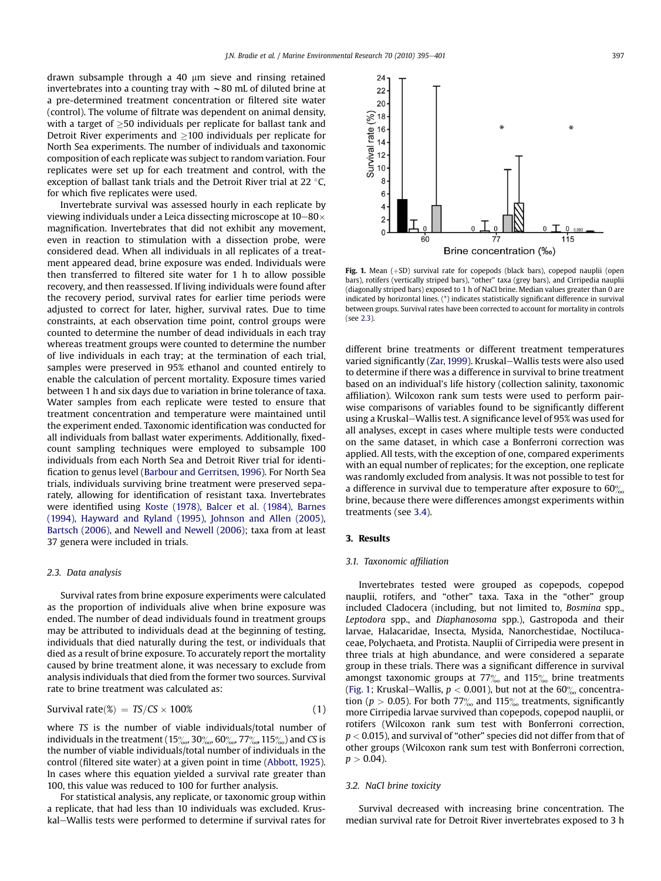<span id="page-2-0"></span>drawn subsample through a 40  $\mu$ m sieve and rinsing retained invertebrates into a counting tray with  $\sim$  80 mL of diluted brine at a pre-determined treatment concentration or filtered site water (control). The volume of filtrate was dependent on animal density, with a target of  $\geq$ 50 individuals per replicate for ballast tank and Detroit River experiments and  $\geq$ 100 individuals per replicate for North Sea experiments. The number of individuals and taxonomic composition of each replicate was subject to random variation. Four replicates were set up for each treatment and control, with the exception of ballast tank trials and the Detroit River trial at 22 $\degree$ C, for which five replicates were used.

Invertebrate survival was assessed hourly in each replicate by viewing individuals under a Leica dissecting microscope at  $10-80\times$ magnification. Invertebrates that did not exhibit any movement, even in reaction to stimulation with a dissection probe, were considered dead. When all individuals in all replicates of a treatment appeared dead, brine exposure was ended. Individuals were then transferred to filtered site water for 1 h to allow possible recovery, and then reassessed. If living individuals were found after the recovery period, survival rates for earlier time periods were adjusted to correct for later, higher, survival rates. Due to time constraints, at each observation time point, control groups were counted to determine the number of dead individuals in each tray whereas treatment groups were counted to determine the number of live individuals in each tray; at the termination of each trial, samples were preserved in 95% ethanol and counted entirely to enable the calculation of percent mortality. Exposure times varied between 1 h and six days due to variation in brine tolerance of taxa. Water samples from each replicate were tested to ensure that treatment concentration and temperature were maintained until the experiment ended. Taxonomic identification was conducted for all individuals from ballast water experiments. Additionally, fixedcount sampling techniques were employed to subsample 100 individuals from each North Sea and Detroit River trial for identification to genus level ([Barbour and Gerritsen, 1996](#page-5-0)). For North Sea trials, individuals surviving brine treatment were preserved separately, allowing for identification of resistant taxa. Invertebrates were identified using [Koste \(1978\), Balcer et al. \(1984\), Barnes](#page-5-0) [\(1994\), Hayward and Ryland \(1995\), Johnson and Allen \(2005\),](#page-5-0) [Bartsch \(2006\),](#page-5-0) and [Newell and Newell \(2006\);](#page-5-0) taxa from at least 37 genera were included in trials.

## 2.3. Data analysis

Survival rates from brine exposure experiments were calculated as the proportion of individuals alive when brine exposure was ended. The number of dead individuals found in treatment groups may be attributed to individuals dead at the beginning of testing, individuals that died naturally during the test, or individuals that died as a result of brine exposure. To accurately report the mortality caused by brine treatment alone, it was necessary to exclude from analysis individuals that died from the former two sources. Survival rate to brine treatment was calculated as:

$$
Survival rate(*) = TS/CS \times 100%
$$
 (1)

where TS is the number of viable individuals/total number of individuals in the treatment (15 $\frac{\%}{\%}$ , 30 $\frac{\%}{\%}$ , 60 $\frac{\%}{\%}$ , 77 $\frac{\%}{\%}$ , 115 $\frac{\%}{\%}$ ) and CS is the number of viable individuals/total number of individuals in the control (filtered site water) at a given point in time [\(Abbott, 1925\)](#page-5-0). In cases where this equation yielded a survival rate greater than 100, this value was reduced to 100 for further analysis.

For statistical analysis, any replicate, or taxonomic group within a replicate, that had less than 10 individuals was excluded. Kruskal–Wallis tests were performed to determine if survival rates for



Fig. 1. Mean  $(+SD)$  survival rate for copepods (black bars), copepod nauplii (open bars), rotifers (vertically striped bars), "other" taxa (grey bars), and Cirripedia nauplii (diagonally striped bars) exposed to 1 h of NaCl brine. Median values greater than 0 are indicated by horizontal lines. (\*) indicates statistically significant difference in survival between groups. Survival rates have been corrected to account for mortality in controls (see 2.3).

different brine treatments or different treatment temperatures varied significantly ([Zar, 1999](#page-6-0)). Kruskal-Wallis tests were also used to determine if there was a difference in survival to brine treatment based on an individual's life history (collection salinity, taxonomic affiliation). Wilcoxon rank sum tests were used to perform pairwise comparisons of variables found to be significantly different using a Kruskal-Wallis test. A significance level of 95% was used for all analyses, except in cases where multiple tests were conducted on the same dataset, in which case a Bonferroni correction was applied. All tests, with the exception of one, compared experiments with an equal number of replicates; for the exception, one replicate was randomly excluded from analysis. It was not possible to test for a difference in survival due to temperature after exposure to  $60\%$ brine, because there were differences amongst experiments within treatments (see [3.4](#page-3-0)).

## 3. Results

## 3.1. Taxonomic affiliation

Invertebrates tested were grouped as copepods, copepod nauplii, rotifers, and "other" taxa. Taxa in the "other" group included Cladocera (including, but not limited to, Bosmina spp., Leptodora spp., and Diaphanosoma spp.), Gastropoda and their larvae, Halacaridae, Insecta, Mysida, Nanorchestidae, Noctilucaceae, Polychaeta, and Protista. Nauplii of Cirripedia were present in three trials at high abundance, and were considered a separate group in these trials. There was a significant difference in survival amongst taxonomic groups at  $77\%$  and  $115\%$  brine treatments (Fig. 1; Kruskal–Wallis,  $p < 0.001$ ), but not at the 60% concentration ( $p > 0.05$ ). For both 77<sup>%</sup> and 115<sup>%</sup> treatments, significantly more Cirripedia larvae survived than copepods, copepod nauplii, or rotifers (Wilcoxon rank sum test with Bonferroni correction,  $p < 0.015$ ), and survival of "other" species did not differ from that of other groups (Wilcoxon rank sum test with Bonferroni correction,  $p > 0.04$ ).

## 3.2. NaCl brine toxicity

Survival decreased with increasing brine concentration. The median survival rate for Detroit River invertebrates exposed to 3 h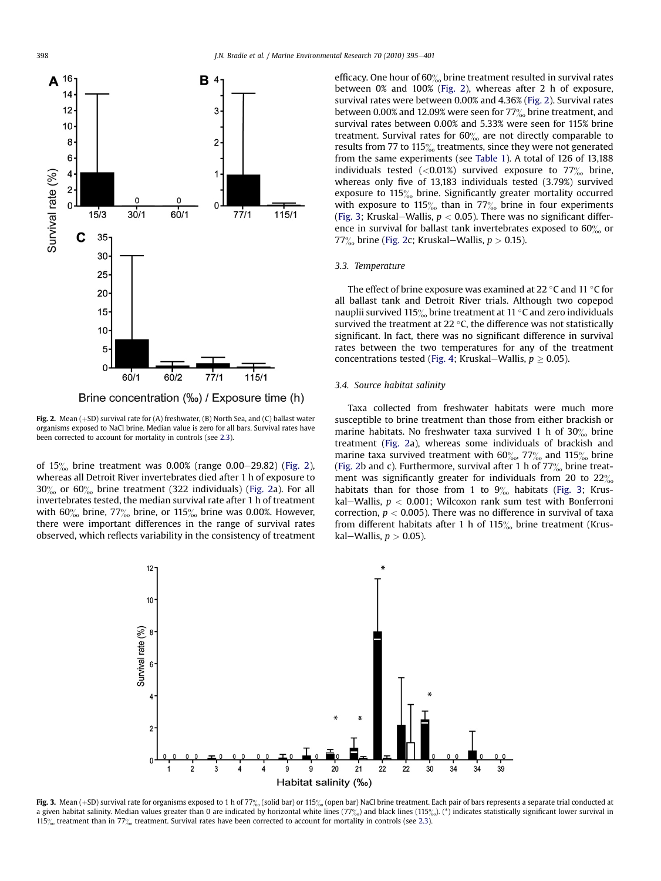<span id="page-3-0"></span>

Brine concentration (‰) / Exposure time (h)

Fig. 2. Mean  $(+SD)$  survival rate for (A) freshwater, (B) North Sea, and (C) ballast water organisms exposed to NaCl brine. Median value is zero for all bars. Survival rates have been corrected to account for mortality in controls (see [2.3](#page-2-0)).

of  $15\%$  brine treatment was 0.00% (range 0.00–29.82) (Fig. 2), whereas all Detroit River invertebrates died after 1 h of exposure to  $30\%$  or  $60\%$  brine treatment (322 individuals) (Fig. 2a). For all invertebrates tested, the median survival rate after 1 h of treatment with  $60\%$  brine,  $77\%$  brine, or  $115\%$  brine was 0.00%. However, there were important differences in the range of survival rates observed, which reflects variability in the consistency of treatment efficacy. One hour of  $60\%$  brine treatment resulted in survival rates between 0% and 100% (Fig. 2), whereas after 2 h of exposure, survival rates were between 0.00% and 4.36% (Fig. 2). Survival rates between 0.00% and 12.09% were seen for  $77\%$  brine treatment, and survival rates between 0.00% and 5.33% were seen for 115% brine treatment. Survival rates for  $60\%$  are not directly comparable to results from 77 to 115 $\%$  treatments, since they were not generated from the same experiments (see [Table 1](#page-1-0)). A total of 126 of 13,188 individuals tested  $\langle$  <0.01%) survived exposure to 77 $\%$  brine, whereas only five of 13,183 individuals tested (3.79%) survived exposure to 115<sup>%</sup> brine. Significantly greater mortality occurred with exposure to 115 $\frac{\%}{\%}$  than in 77 $\frac{\%}{\%}$  brine in four experiments (Fig. 3; Kruskal–Wallis,  $p < 0.05$ ). There was no significant difference in survival for ballast tank invertebrates exposed to  $60\%$  or 77 $\%$  brine (Fig. 2c; Kruskal–Wallis,  $p > 0.15$ ).

## 3.3. Temperature

The effect of brine exposure was examined at 22  $\degree$ C and 11  $\degree$ C for all ballast tank and Detroit River trials. Although two copepod nauplii survived 115 $\%$  brine treatment at 11 °C and zero individuals survived the treatment at 22  $\degree$ C, the difference was not statistically significant. In fact, there was no significant difference in survival rates between the two temperatures for any of the treatment concentrations tested ([Fig. 4;](#page-4-0) Kruskal—Wallis,  $p \geq 0.05$ ).

## 3.4. Source habitat salinity

Taxa collected from freshwater habitats were much more susceptible to brine treatment than those from either brackish or marine habitats. No freshwater taxa survived 1 h of  $30\%$  brine treatment (Fig. 2a), whereas some individuals of brackish and marine taxa survived treatment with  $60\%$ ,  $77\%$  and  $115\%$  brine (Fig. 2b and c). Furthermore, survival after 1 h of  $77\%$  brine treatment was significantly greater for individuals from 20 to  $22\%$ habitats than for those from 1 to  $9\%$  habitats (Fig. 3; Kruskal-Wallis,  $p < 0.001$ ; Wilcoxon rank sum test with Bonferroni correction,  $p < 0.005$ ). There was no difference in survival of taxa from different habitats after 1 h of  $115\%$  brine treatment (Kruskal-Wallis,  $p > 0.05$ ).



Fig. 3. Mean (+SD) survival rate for organisms exposed to 1 h of 77% (solid bar) or 115% (open bar) NaCl brine treatment. Each pair of bars represents a separate trial conducted at a given habitat salinity. Median values greater than 0 are indicated by horizontal white lines (77%) and black lines (115%). (\*) indicates statistically significant lower survival in 115 $\frac{15}{20}$  treatment than in 77 $\frac{1}{20}$  treatment. Survival rates have been corrected to account for mortality in controls (see [2.3](#page-2-0)).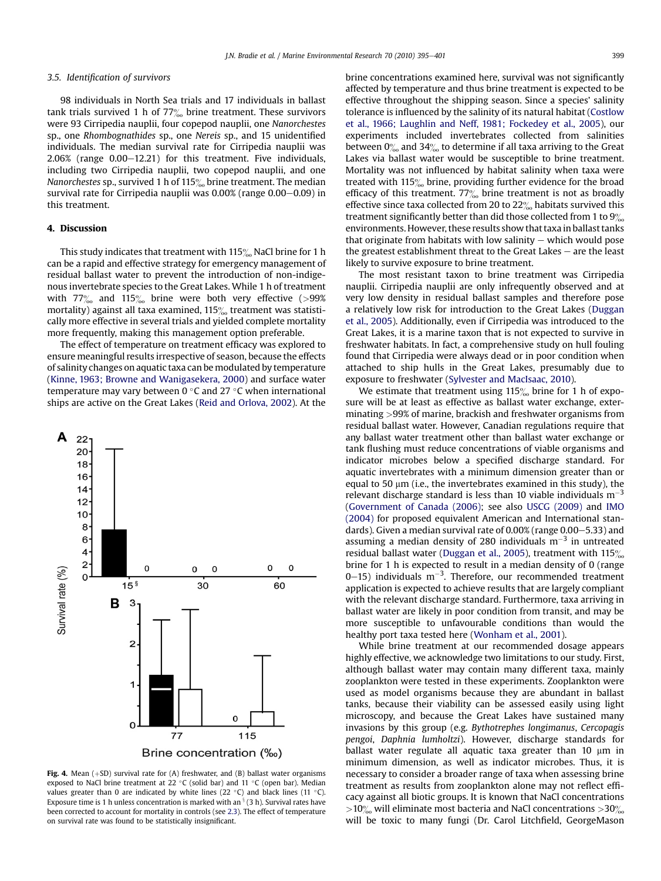#### <span id="page-4-0"></span>3.5. Identification of survivors

98 individuals in North Sea trials and 17 individuals in ballast tank trials survived 1 h of  $77\%$  brine treatment. These survivors were 93 Cirripedia nauplii, four copepod nauplii, one Nanorchestes sp., one Rhombognathides sp., one Nereis sp., and 15 unidentified individuals. The median survival rate for Cirripedia nauplii was  $2.06\%$  (range  $0.00-12.21$ ) for this treatment. Five individuals, including two Cirripedia nauplii, two copepod nauplii, and one Nanorchestes sp., survived 1 h of 115 $\%$  brine treatment. The median survival rate for Cirripedia nauplii was  $0.00\%$  (range  $0.00-0.09$ ) in this treatment.

## 4. Discussion

This study indicates that treatment with  $115\%$  NaCl brine for 1 h can be a rapid and effective strategy for emergency management of residual ballast water to prevent the introduction of non-indigenous invertebrate species to the Great Lakes. While 1 h of treatment with  $77\%$  and  $115\%$  brine were both very effective (>99% mortality) against all taxa examined,  $115\%$  treatment was statistically more effective in several trials and yielded complete mortality more frequently, making this management option preferable.

The effect of temperature on treatment efficacy was explored to ensure meaningful results irrespective of season, because the effects of salinity changes on aquatic taxa can be modulated by temperature ([Kinne, 1963; Browne and Wanigasekera, 2000](#page-5-0)) and surface water temperature may vary between  $0^{\circ}$ C and 27  $^{\circ}$ C when international ships are active on the Great Lakes [\(Reid and Orlova, 2002](#page-5-0)). At the



Fig. 4. Mean  $(+SD)$  survival rate for  $(A)$  freshwater, and  $(B)$  ballast water organisms exposed to NaCl brine treatment at 22  $\degree$ C (solid bar) and 11  $\degree$ C (open bar). Median values greater than 0 are indicated by white lines (22 °C) and black lines (11 °C). Exposure time is 1 h unless concentration is marked with an  $\frac{1}{3}$  (3 h). Survival rates have been corrected to account for mortality in controls (see [2.3\)](#page-2-0). The effect of temperature on survival rate was found to be statistically insignificant.

brine concentrations examined here, survival was not significantly affected by temperature and thus brine treatment is expected to be effective throughout the shipping season. Since a species' salinity tolerance is influenced by the salinity of its natural habitat [\(Costlow](#page-5-0) [et al., 1966; Laughlin and Neff, 1981; Fockedey et al., 2005](#page-5-0)), our experiments included invertebrates collected from salinities between  $0^{\circ}_{\infty}$  and 34 $^{\circ}_{\infty}$  to determine if all taxa arriving to the Great Lakes via ballast water would be susceptible to brine treatment. Mortality was not influenced by habitat salinity when taxa were treated with  $115\%$  brine, providing further evidence for the broad efficacy of this treatment.  $77\%$  brine treatment is not as broadly effective since taxa collected from 20 to  $22\%$  habitats survived this treatment significantly better than did those collected from 1 to  $9\%$ environments. However, these results show that taxa in ballast tanks that originate from habitats with low salinity  $-$  which would pose the greatest establishment threat to the Great Lakes  $-$  are the least likely to survive exposure to brine treatment.

The most resistant taxon to brine treatment was Cirripedia nauplii. Cirripedia nauplii are only infrequently observed and at very low density in residual ballast samples and therefore pose a relatively low risk for introduction to the Great Lakes ([Duggan](#page-5-0) [et al., 2005\)](#page-5-0). Additionally, even if Cirripedia was introduced to the Great Lakes, it is a marine taxon that is not expected to survive in freshwater habitats. In fact, a comprehensive study on hull fouling found that Cirripedia were always dead or in poor condition when attached to ship hulls in the Great Lakes, presumably due to exposure to freshwater ([Sylvester and MacIsaac, 2010](#page-6-0)).

We estimate that treatment using  $115\%$  brine for 1 h of exposure will be at least as effective as ballast water exchange, exterminating >99% of marine, brackish and freshwater organisms from residual ballast water. However, Canadian regulations require that any ballast water treatment other than ballast water exchange or tank flushing must reduce concentrations of viable organisms and indicator microbes below a specified discharge standard. For aquatic invertebrates with a minimum dimension greater than or equal to 50  $\mu$ m (i.e., the invertebrates examined in this study), the relevant discharge standard is less than 10 viable individuals  $m^{-3}$ ([Government of Canada \(2006\)](#page-5-0); see also [USCG \(2009\)](#page-6-0) and [IMO](#page-5-0) [\(2004\)](#page-5-0) for proposed equivalent American and International standards). Given a median survival rate of  $0.00\%$  (range  $0.00-5.33$ ) and assuming a median density of 280 individuals  $m^{-3}$  in untreated residual ballast water [\(Duggan et al., 2005](#page-5-0)), treatment with  $115\%$ brine for 1 h is expected to result in a median density of 0 (range 0–15) individuals  $m^{-3}$ . Therefore, our recommended treatment application is expected to achieve results that are largely compliant with the relevant discharge standard. Furthermore, taxa arriving in ballast water are likely in poor condition from transit, and may be more susceptible to unfavourable conditions than would the healthy port taxa tested here [\(Wonham et al., 2001\)](#page-6-0).

While brine treatment at our recommended dosage appears highly effective, we acknowledge two limitations to our study. First, although ballast water may contain many different taxa, mainly zooplankton were tested in these experiments. Zooplankton were used as model organisms because they are abundant in ballast tanks, because their viability can be assessed easily using light microscopy, and because the Great Lakes have sustained many invasions by this group (e.g. Bythotrephes longimanus, Cercopagis pengoi, Daphnia lumholtzi). However, discharge standards for ballast water regulate all aquatic taxa greater than  $10 \mu m$  in minimum dimension, as well as indicator microbes. Thus, it is necessary to consider a broader range of taxa when assessing brine treatment as results from zooplankton alone may not reflect efficacy against all biotic groups. It is known that NaCl concentrations  $>10\%$  will eliminate most bacteria and NaCl concentrations  $>30\%$ will be toxic to many fungi (Dr. Carol Litchfield, GeorgeMason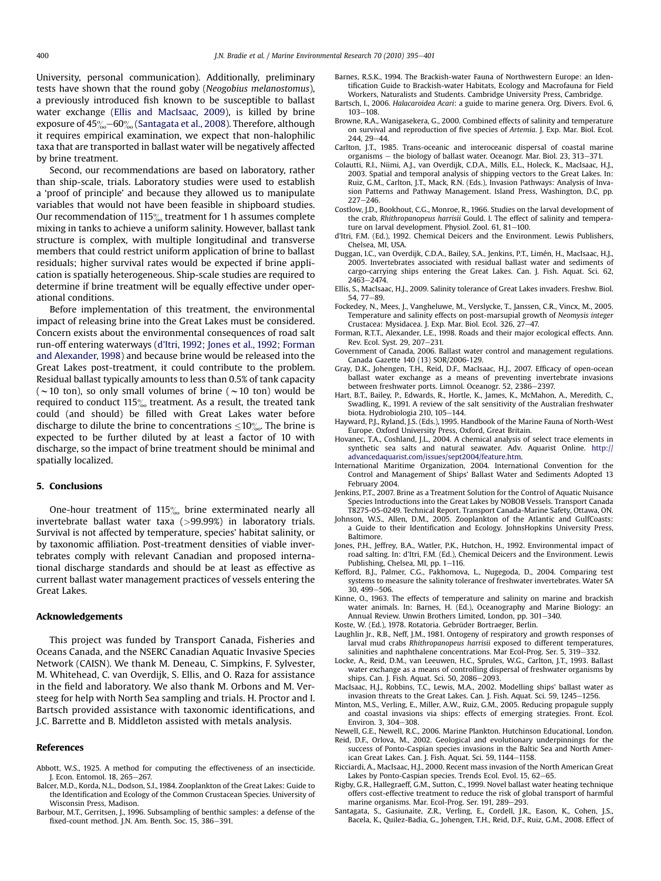<span id="page-5-0"></span>University, personal communication). Additionally, preliminary tests have shown that the round goby (Neogobius melanostomus), a previously introduced fish known to be susceptible to ballast water exchange (Ellis and MacIsaac, 2009), is killed by brine exposure of  $45\% - 60\%$  (Santagata et al., 2008). Therefore, although it requires empirical examination, we expect that non-halophilic taxa that are transported in ballast water will be negatively affected by brine treatment.

Second, our recommendations are based on laboratory, rather than ship-scale, trials. Laboratory studies were used to establish a 'proof of principle' and because they allowed us to manipulate variables that would not have been feasible in shipboard studies. Our recommendation of 115 $\%$  treatment for 1 h assumes complete mixing in tanks to achieve a uniform salinity. However, ballast tank structure is complex, with multiple longitudinal and transverse members that could restrict uniform application of brine to ballast residuals; higher survival rates would be expected if brine application is spatially heterogeneous. Ship-scale studies are required to determine if brine treatment will be equally effective under operational conditions.

Before implementation of this treatment, the environmental impact of releasing brine into the Great Lakes must be considered. Concern exists about the environmental consequences of road salt run-off entering waterways (d'Itri, 1992; Jones et al., 1992; Forman and Alexander, 1998) and because brine would be released into the Great Lakes post-treatment, it could contribute to the problem. Residual ballast typically amounts to less than 0.5% of tank capacity ( $\sim$ 10 ton), so only small volumes of brine ( $\sim$ 10 ton) would be required to conduct  $115\%$  treatment. As a result, the treated tank could (and should) be filled with Great Lakes water before discharge to dilute the brine to concentrations  $\leq 10\%$ . The brine is expected to be further diluted by at least a factor of 10 with discharge, so the impact of brine treatment should be minimal and spatially localized.

## 5. Conclusions

One-hour treatment of  $115\%$  brine exterminated nearly all invertebrate ballast water taxa (>99.99%) in laboratory trials. Survival is not affected by temperature, species' habitat salinity, or by taxonomic affiliation. Post-treatment densities of viable invertebrates comply with relevant Canadian and proposed international discharge standards and should be at least as effective as current ballast water management practices of vessels entering the Great Lakes.

## Acknowledgements

This project was funded by Transport Canada, Fisheries and Oceans Canada, and the NSERC Canadian Aquatic Invasive Species Network (CAISN). We thank M. Deneau, C. Simpkins, F. Sylvester, M. Whitehead, C. van Overdijk, S. Ellis, and O. Raza for assistance in the field and laboratory. We also thank M. Orbons and M. Versteeg for help with North Sea sampling and trials. H. Proctor and I. Bartsch provided assistance with taxonomic identifications, and J.C. Barrette and B. Middleton assisted with metals analysis.

#### References

- Abbott, W.S., 1925. A method for computing the effectiveness of an insecticide. J. Econ. Entomol. 18, 265-267.
- Balcer, M.D., Korda, N.L., Dodson, S.I., 1984. Zooplankton of the Great Lakes: Guide to the Identification and Ecology of the Common Crustacean Species. University of Wisconsin Press, Madison.
- Barbour, M.T., Gerritsen, J., 1996. Subsampling of benthic samples: a defense of the fixed-count method. J.N. Am. Benth. Soc. 15, 386-391.
- Barnes, R.S.K., 1994. The Brackish-water Fauna of Northwestern Europe: an Identification Guide to Brackish-water Habitats, Ecology and Macrofauna for Field Workers, Naturalists and Students. Cambridge University Press, Cambridge.
- Bartsch, I., 2006. Halacaroidea Acari: a guide to marine genera. Org. Divers. Evol. 6,  $103 - 108$ .
- Browne, R.A., Wanigasekera, G., 2000. Combined effects of salinity and temperature on survival and reproduction of five species of Artemia. J. Exp. Mar. Biol. Ecol.  $244.29 - 44.$
- Carlton, J.T., 1985. Trans-oceanic and interoceanic dispersal of coastal marine organisms - the biology of ballast water. Oceanogr. Mar. Biol. 23, 313-371.
- Colautti, R.I., Niimi, A.J., van Overdijk, C.D.A., Mills, E.L., Holeck, K., MacIsaac, H.J., 2003. Spatial and temporal analysis of shipping vectors to the Great Lakes. In: Ruiz, G.M., Carlton, J.T., Mack, R.N. (Eds.), Invasion Pathways: Analysis of Invasion Patterns and Pathway Management. Island Press, Washington, D.C, pp.  $227 - 246$ .
- Costlow, J.D., Bookhout, C.G., Monroe, R., 1966. Studies on the larval development of the crab, Rhithropanopeus harrisii Gould. I. The effect of salinity and temperature on larval development. Physiol.  $Z$ ool. 61, 81 $-100$ .
- d'Itri, F.M. (Ed.), 1992. Chemical Deicers and the Environment. Lewis Publishers, Chelsea, MI, USA.
- Duggan, I.C., van Overdijk, C.D.A., Bailey, S.A., Jenkins, P.T., Limén, H., MacIsaac, H.J., 2005. Invertebrates associated with residual ballast water and sediments of cargo-carrying ships entering the Great Lakes. Can. J. Fish. Aquat. Sci. 62, 2463-2474
- Ellis, S., MacIsaac, H.J., 2009. Salinity tolerance of Great Lakes invaders. Freshw. Biol.  $54, 77 - 89$
- Fockedey, N., Mees, J., Vangheluwe, M., Verslycke, T., Janssen, C.R., Vincx, M., 2005. Temperature and salinity effects on post-marsupial growth of Neomysis integer Crustacea: Mysidacea. J. Exp. Mar. Biol. Ecol. 326, 27-47.
- Forman, R.T.T., Alexander, L.E., 1998. Roads and their major ecological effects. Ann. Rev. Ecol. Syst. 29, 207-231.
- Government of Canada, 2006. Ballast water control and management regulations. Canada Gazette 140 (13) SOR/2006-129.
- Gray, D.K., Johengen, T.H., Reid, D.F., MacIsaac, H.J., 2007. Efficacy of open-ocean ballast water exchange as a means of preventing invertebrate invasions between freshwater ports. Limnol. Oceanogr. 52, 2386-2397.
- Hart, B.T., Bailey, P., Edwards, R., Hortle, K., James, K., McMahon, A., Meredith, C., Swadling, K., 1991. A review of the salt sensitivity of the Australian freshwater biota. Hydrobiologia 210, 105-144.
- Hayward, P.J., Ryland, J.S. (Eds.), 1995. Handbook of the Marine Fauna of North-West Europe. Oxford University Press, Oxford, Great Britain.
- Hovanec, T.A., Coshland, J.L., 2004. A chemical analysis of select trace elements in synthetic sea salts and natural seawater. Adv. Aquarist Online. [http://](http://advancedaquarist.com/issues/sept2004/feature.htm) [advancedaquarist.com/issues/sept2004/feature.htm.](http://advancedaquarist.com/issues/sept2004/feature.htm)
- International Maritime Organization, 2004. International Convention for the Control and Management of Ships' Ballast Water and Sediments Adopted 13 February 2004.
- Jenkins, P.T., 2007. Brine as a Treatment Solution for the Control of Aquatic Nuisance Species Introductions into the Great Lakes by NOBOB Vessels. Transport Canada T8275-05-0249. Technical Report. Transport Canada-Marine Safety, Ottawa, ON.
- Johnson, W.S., Allen, D.M., 2005. Zooplankton of the Atlantic and GulfCoasts: a Guide to their Identification and Ecology. JohnsHopkins University Press, Baltimore.
- Jones, P.H., Jeffrey, B.A., Watler, P.K., Hutchon, H., 1992. Environmental impact of road salting. In: d'Itri, F.M. (Ed.), Chemical Deicers and the Environment. Lewis Publishing, Chelsea, MI, pp. 1-116.
- Kefford, B.J., Palmer, C.G., Pakhomova, L., Nugegoda, D., 2004. Comparing test systems to measure the salinity tolerance of freshwater invertebrates. Water SA  $30,499 - 506.$
- Kinne, O., 1963. The effects of temperature and salinity on marine and brackish water animals. In: Barnes, H. (Ed.), Oceanography and Marine Biology: an Annual Review. Unwin Brothers Limited, London, pp. 301-340.
- Koste, W. (Ed.), 1978. Rotatoria. Gebrüder Bortraeger, Berlin.
- Laughlin Jr., R.B., Neff, J.M., 1981. Ontogeny of respiratory and growth responses of larval mud crabs Rhithropanopeus harrisii exposed to different temperatures, salinities and naphthalene concentrations. Mar Ecol-Prog. Ser. 5, 319-332.
- Locke, A., Reid, D.M., van Leeuwen, H.C., Sprules, W.G., Carlton, J.T., 1993. Ballast water exchange as a means of controlling dispersal of freshwater organisms by ships. Can. J. Fish. Aquat. Sci. 50, 2086 $-2093$ .
- MacIsaac, H.J., Robbins, T.C., Lewis, M.A., 2002. Modelling ships' ballast water as invasion threats to the Great Lakes. Can. J. Fish. Aquat. Sci. 59, 1245-1256.
- Minton, M.S., Verling, E., Miller, A.W., Ruiz, G.M., 2005. Reducing propagule supply and coastal invasions via ships: effects of emerging strategies. Front. Ecol. Environ. 3, 304-308.
- Newell, G.E., Newell, R.C., 2006. Marine Plankton. Hutchinson Educational, London.
- Reid, D.F., Orlova, M., 2002. Geological and evolutionary underpinnings for the success of Ponto-Caspian species invasions in the Baltic Sea and North American Great Lakes. Can. J. Fish. Aquat. Sci. 59, 1144-1158.
- Ricciardi, A., MacIsaac, H.J., 2000. Recent mass invasion of the North American Great Lakes by Ponto-Caspian species. Trends Ecol. Evol. 15, 62-65.
- Rigby, G.R., Hallegraeff, G.M., Sutton, C., 1999. Novel ballast water heating technique offers cost-effective treatment to reduce the risk of global transport of harmful marine organisms. Mar. Ecol-Prog. Ser. 191, 289-293.
- Santagata, S., Gasiunaite, Z.R., Verling, E., Cordell, J.R., Eason, K., Cohen, J.S., Bacela, K., Quilez-Badia, G., Johengen, T.H., Reid, D.F., Ruiz, G.M., 2008. Effect of